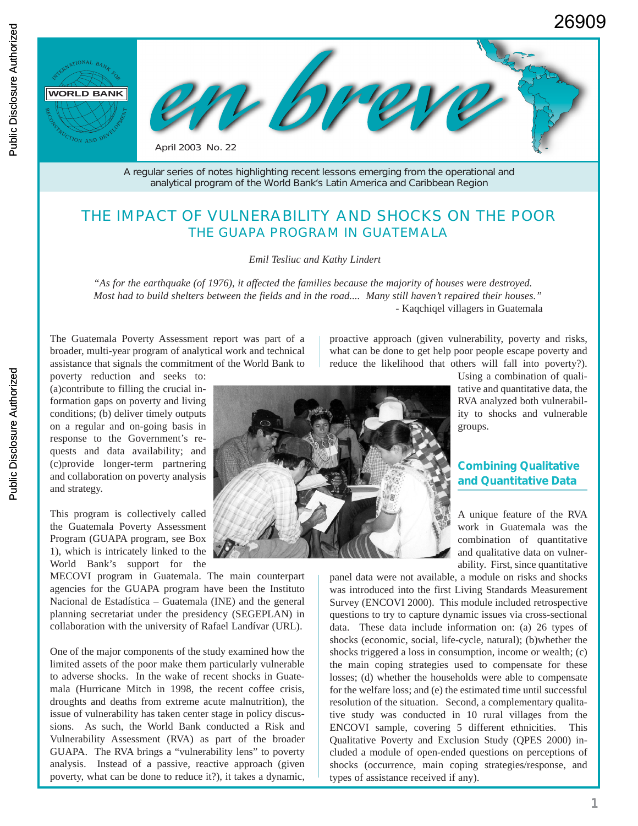

A regular series of notes highlighting recent lessons emerging from the operational and analytical program of the World Bank's Latin America and Caribbean Region

# THE IMPACT OF VULNERABILITY AND SHOCKS ON THE POOR THE *GUAPA* PROGRAM IN GUATEMALA

*Emil Tesliuc and Kathy Lindert*

*"As for the earthquake (of 1976), it affected the families because the majority of houses were destroyed. Most had to build shelters between the fields and in the road.... Many still haven't repaired their houses." -* Kaqchiqel villagers in Guatemala

The Guatemala Poverty Assessment report was part of a broader, multi-year program of analytical work and technical assistance that signals the commitment of the World Bank to

poverty reduction and seeks to: (a)contribute to filling the crucial information gaps on poverty and living conditions; (b) deliver timely outputs on a regular and on-going basis in response to the Government's requests and data availability; and (c)provide longer-term partnering and collaboration on poverty analysis and strategy.

This program is collectively called the Guatemala Poverty Assessment Program (GUAPA program, see Box 1), which is intricately linked to the World Bank's support for the

MECOVI program in Guatemala. The main counterpart agencies for the GUAPA program have been the Instituto Nacional de Estadística – Guatemala (INE) and the general planning secretariat under the presidency (SEGEPLAN) in collaboration with the university of Rafael Landívar (URL).

One of the major components of the study examined how the limited assets of the poor make them particularly vulnerable to adverse shocks. In the wake of recent shocks in Guatemala (Hurricane Mitch in 1998, the recent coffee crisis, droughts and deaths from extreme acute malnutrition), the issue of vulnerability has taken center stage in policy discussions. As such, the World Bank conducted a Risk and Vulnerability Assessment (RVA) as part of the broader GUAPA. The RVA brings a "vulnerability lens" to poverty analysis. Instead of a passive, reactive approach (given poverty, what can be done to reduce it?), it takes a dynamic, proactive approach (given vulnerability, poverty and risks, what can be done to get help poor people escape poverty and reduce the likelihood that others will fall into poverty?).



Using a combination of qualitative and quantitative data, the RVA analyzed both vulnerability to shocks and vulnerable groups.

# **Combining Qualitative and Quantitative Data**

A unique feature of the RVA work in Guatemala was the combination of quantitative and qualitative data on vulnerability. First, since quantitative

panel data were not available, a module on risks and shocks was introduced into the first Living Standards Measurement Survey (ENCOVI 2000). This module included retrospective questions to try to capture dynamic issues via cross-sectional data. These data include information on: (a) 26 types of shocks (economic, social, life-cycle, natural); (b)whether the shocks triggered a loss in consumption, income or wealth; (c) the main coping strategies used to compensate for these losses; (d) whether the households were able to compensate for the welfare loss; and (e) the estimated time until successful resolution of the situation. Second, a complementary qualitative study was conducted in 10 rural villages from the ENCOVI sample, covering 5 different ethnicities. This Qualitative Poverty and Exclusion Study (QPES 2000) included a module of open-ended questions on perceptions of shocks (occurrence, main coping strategies/response, and types of assistance received if any).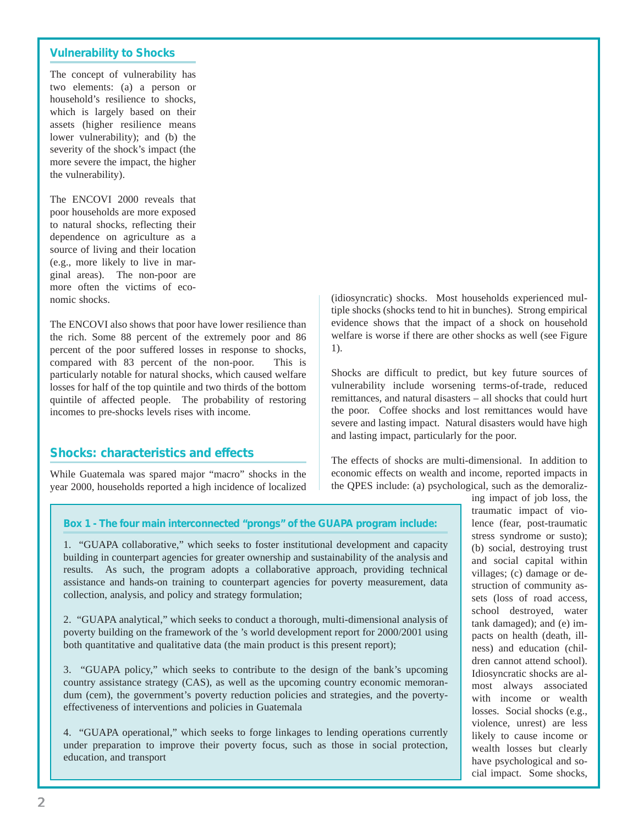### **Vulnerability to Shocks**

The concept of vulnerability has two elements: (a) a person or household's resilience to shocks, which is largely based on their assets (higher resilience means lower vulnerability); and (b) the severity of the shock's impact (the more severe the impact, the higher the vulnerability).

The ENCOVI 2000 reveals that poor households are more exposed to natural shocks, reflecting their dependence on agriculture as a source of living and their location (e.g., more likely to live in marginal areas). The non-poor are more often the victims of economic shocks.

The ENCOVI also shows that poor have lower resilience than the rich. Some 88 percent of the extremely poor and 86 percent of the poor suffered losses in response to shocks, compared with 83 percent of the non-poor. This is particularly notable for natural shocks, which caused welfare losses for half of the top quintile and two thirds of the bottom quintile of affected people. The probability of restoring incomes to pre-shocks levels rises with income.

# **Shocks: characteristics and effects**

While Guatemala was spared major "macro" shocks in the year 2000, households reported a high incidence of localized

(idiosyncratic) shocks. Most households experienced multiple shocks (shocks tend to hit in bunches). Strong empirical evidence shows that the impact of a shock on household welfare is worse if there are other shocks as well (see Figure 1).

Shocks are difficult to predict, but key future sources of vulnerability include worsening terms-of-trade, reduced remittances, and natural disasters – all shocks that could hurt the poor. Coffee shocks and lost remittances would have severe and lasting impact. Natural disasters would have high and lasting impact, particularly for the poor.

The effects of shocks are multi-dimensional. In addition to economic effects on wealth and income, reported impacts in the QPES include: (a) psychological, such as the demoraliz-

#### **Box 1 - The four main interconnected "prongs" of the GUAPA program include:**

1. "GUAPA collaborative," which seeks to foster institutional development and capacity building in counterpart agencies for greater ownership and sustainability of the analysis and results. As such, the program adopts a collaborative approach, providing technical assistance and hands-on training to counterpart agencies for poverty measurement, data collection, analysis, and policy and strategy formulation;

2. "GUAPA analytical," which seeks to conduct a thorough, multi-dimensional analysis of poverty building on the framework of the 's world development report for 2000/2001 using both quantitative and qualitative data (the main product is this present report);

3. "GUAPA policy," which seeks to contribute to the design of the bank's upcoming country assistance strategy (CAS), as well as the upcoming country economic memorandum (cem), the government's poverty reduction policies and strategies, and the povertyeffectiveness of interventions and policies in Guatemala

4. "GUAPA operational," which seeks to forge linkages to lending operations currently under preparation to improve their poverty focus, such as those in social protection, education, and transport

traumatic impact of violence (fear, post-traumatic stress syndrome or susto); (b) social, destroying trust and social capital within villages; (c) damage or destruction of community assets (loss of road access, school destroyed, water tank damaged); and (e) impacts on health (death, illness) and education (children cannot attend school). Idiosyncratic shocks are almost always associated with income or wealth losses. Social shocks (e.g., violence, unrest) are less likely to cause income or wealth losses but clearly have psychological and social impact. Some shocks,

ing impact of job loss, the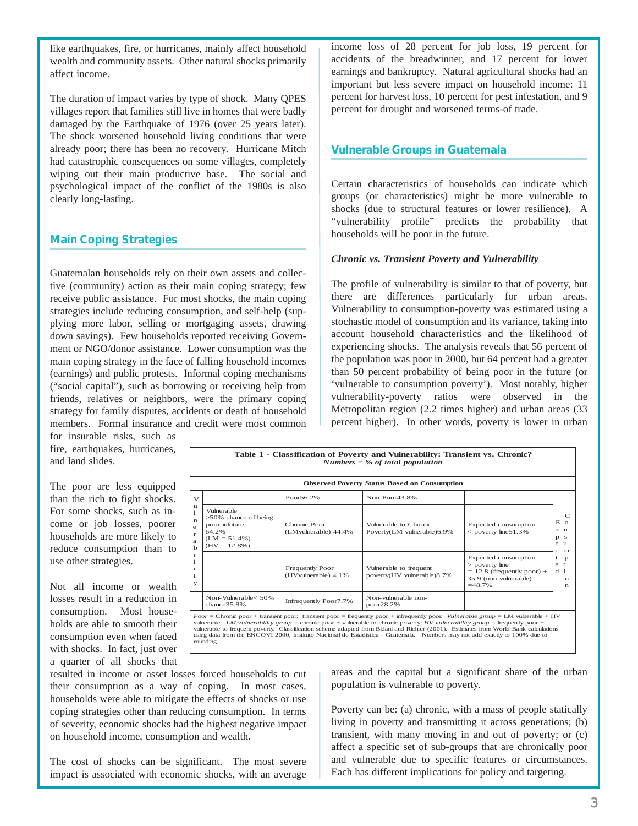like earthquakes, fire, or hurricanes, mainly affect household wealth and community assets. Other natural shocks primarily affect income.

The duration of impact varies by type of shock. Many QPES villages report that families still live in homes that were badly damaged by the Earthquake of 1976 (over 25 years later). The shock worsened household living conditions that were already poor; there has been no recovery. Hurricane Mitch had catastrophic consequences on some villages, completely wiping out their main productive base. The social and psychological impact of the conflict of the 1980s is also clearly long-lasting.

### **Main Coping Strategies**

Guatemalan households rely on their own assets and collective (community) action as their main coping strategy; few receive public assistance. For most shocks, the main coping strategies include reducing consumption, and self-help (supplying more labor, selling or mortgaging assets, drawing down savings). Few households reported receiving Government or NGO/donor assistance. Lower consumption was the main coping strategy in the face of falling household incomes (earnings) and public protests. Informal coping mechanisms ("social capital"), such as borrowing or receiving help from friends, relatives or neighbors, were the primary coping strategy for family disputes, accidents or death of household members. Formal insurance and credit were most common

for insurable risks, such as fire, earthquakes, hurricanes, and land slides.

The poor are less equipped than the rich to fight shocks. For some shocks, such as income or job losses, poorer households are more likely to reduce consumption than to use other strategies.

Not all income or wealth losses result in a reduction in consumption. Most households are able to smooth their consumption even when faced with shocks. In fact, just over a quarter of all shocks that income loss of 28 percent for job loss, 19 percent for accidents of the breadwinner, and 17 percent for lower earnings and bankruptcy. Natural agricultural shocks had an important but less severe impact on household income: 11 percent for harvest loss, 10 percent for pest infestation, and 9 percent for drought and worsened terms-of trade.

### **Vulnerable Groups in Guatemala**

Certain characteristics of households can indicate which groups (or characteristics) might be more vulnerable to shocks (due to structural features or lower resilience). A "vulnerability profile" predicts the probability that households will be poor in the future.

#### *Chronic vs. Transient Poverty and Vulnerability*

The profile of vulnerability is similar to that of poverty, but there are differences particularly for urban areas. Vulnerability to consumption-poverty was estimated using a stochastic model of consumption and its variance, taking into account household characteristics and the likelihood of experiencing shocks. The analysis reveals that 56 percent of the population was poor in 2000, but 64 percent had a greater than 50 percent probability of being poor in the future (or 'vulnerable to consumption poverty'). Most notably, higher vulnerability-poverty ratios were observed in the Metropolitan region (2.2 times higher) and urban areas (33 percent higher). In other words, poverty is lower in urban

| Table 1 - Classification of Poverty and Vulnerability: Transient vs. Chronic?<br>Numbers $=$ % of total population                                                                                                                                                                                                                                                                                                                                                                                                                                      |                                                                                                       |                                        |                                                      |                                                                                                               |                                                                                                                    |
|---------------------------------------------------------------------------------------------------------------------------------------------------------------------------------------------------------------------------------------------------------------------------------------------------------------------------------------------------------------------------------------------------------------------------------------------------------------------------------------------------------------------------------------------------------|-------------------------------------------------------------------------------------------------------|----------------------------------------|------------------------------------------------------|---------------------------------------------------------------------------------------------------------------|--------------------------------------------------------------------------------------------------------------------|
| <b>Observed Poverty Status Based on Consumption</b>                                                                                                                                                                                                                                                                                                                                                                                                                                                                                                     |                                                                                                       |                                        |                                                      |                                                                                                               |                                                                                                                    |
| $\sqrt{ }$<br>u<br>$\mathbf{1}$<br>$\mathbf n$<br>e<br>$\Gamma$<br>a<br>$\mathbf b$<br>$\mathbf{i}$<br>1<br>i<br>t<br>У                                                                                                                                                                                                                                                                                                                                                                                                                                 |                                                                                                       | Poor56.2%                              | Non-Poor43.8%                                        |                                                                                                               | $\mathbb{C}$<br>E <sub>0</sub><br>x <sub>n</sub><br>p s<br>e u<br>c m<br>t<br>p<br>$e$ t<br>$d$ i<br>$\Omega$<br>n |
|                                                                                                                                                                                                                                                                                                                                                                                                                                                                                                                                                         | Vulnerable<br>$>50\%$ chance of being<br>poor infuture<br>64.2%<br>$(LM = 51.4\%)$<br>$(HV = 12.8\%)$ | Chronic Poor<br>(LMyulnerable) 44.4%   | Vulnerable to Chronic<br>Poverty(LM vulnerable)6.9%  | Expected consumption<br>$<$ poverty line 51.3%                                                                |                                                                                                                    |
|                                                                                                                                                                                                                                                                                                                                                                                                                                                                                                                                                         |                                                                                                       | Frequently Poor<br>(HVvulnerable) 4.1% | Vulnerable to frequent<br>poverty(HV vulnerable)8.7% | Expected consumption<br>$>$ poverty line<br>$= 12.8$ (frequently poor) +<br>35.9 (non-vulnerable)<br>$=48.7%$ |                                                                                                                    |
|                                                                                                                                                                                                                                                                                                                                                                                                                                                                                                                                                         | Non-Vulnerable< 50%<br>chance35.8%                                                                    | Infrequently Poor7.7%                  | Non-vulnerable non-<br>poor28.2%                     |                                                                                                               |                                                                                                                    |
| $Poor =$ Chronic poor + transient poor; transient poor = frequently poor + infrequently poor. Vulnerable group = LM vulnerable + HV<br>vulnerable. LM vulnerability group = chronic poor + vulnerable to chronic poverty; HV vulnerability group = frequently poor +<br>vulnerable to frequent poverty. Classification scheme adapted from Bidani and Richter (2001). Estimates from World Bank calculations<br>using data from the ENCOVI 2000, Instituto Nacional de Estadística - Guatemala. Numbers may not add exactly to 100% due to<br>rounding. |                                                                                                       |                                        |                                                      |                                                                                                               |                                                                                                                    |

resulted in income or asset losses forced households to cut their consumption as a way of coping. In most cases, households were able to mitigate the effects of shocks or use coping strategies other than reducing consumption. In terms of severity, economic shocks had the highest negative impact on household income, consumption and wealth.

The cost of shocks can be significant. The most severe impact is associated with economic shocks, with an average areas and the capital but a significant share of the urban population is vulnerable to poverty.

Poverty can be: (a) chronic, with a mass of people statically living in poverty and transmitting it across generations; (b) transient, with many moving in and out of poverty; or (c) affect a specific set of sub-groups that are chronically poor and vulnerable due to specific features or circumstances. Each has different implications for policy and targeting.